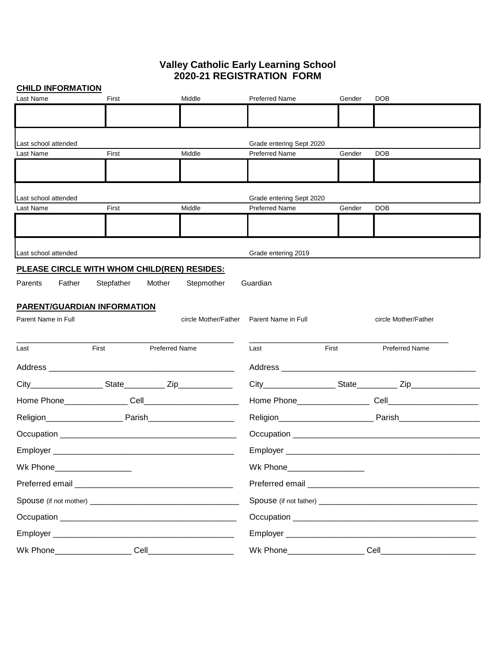## **Valley Catholic Early Learning School 2020-21 REGISTRATION FORM**

| <b>CHILD INFORMATION</b>      |                                             |                       |                             |        |                       |
|-------------------------------|---------------------------------------------|-----------------------|-----------------------------|--------|-----------------------|
| Last Name                     | First                                       | Middle                | <b>Preferred Name</b>       | Gender | <b>DOB</b>            |
|                               |                                             |                       |                             |        |                       |
|                               |                                             |                       |                             |        |                       |
| Last school attended          |                                             |                       | Grade entering Sept 2020    |        |                       |
| Last Name                     | First                                       | Middle                | <b>Preferred Name</b>       | Gender | <b>DOB</b>            |
|                               |                                             |                       |                             |        |                       |
|                               |                                             |                       |                             |        |                       |
| Last school attended          |                                             |                       | Grade entering Sept 2020    |        |                       |
| Last Name                     | First                                       | Middle                | <b>Preferred Name</b>       | Gender | <b>DOB</b>            |
|                               |                                             |                       |                             |        |                       |
|                               |                                             |                       |                             |        |                       |
| Last school attended          |                                             |                       | Grade entering 2019         |        |                       |
|                               |                                             |                       |                             |        |                       |
|                               | PLEASE CIRCLE WITH WHOM CHILD(REN) RESIDES: |                       |                             |        |                       |
| Father<br>Parents             | Stepfather                                  | Stepmother<br>Mother  | Guardian                    |        |                       |
|                               | <b>PARENT/GUARDIAN INFORMATION</b>          |                       |                             |        |                       |
| Parent Name in Full           |                                             | circle Mother/Father  | Parent Name in Full         |        | circle Mother/Father  |
|                               |                                             |                       |                             |        |                       |
| Last                          | First                                       | <b>Preferred Name</b> | Last                        | First  | <b>Preferred Name</b> |
|                               |                                             |                       |                             |        |                       |
|                               |                                             |                       |                             |        |                       |
|                               |                                             |                       |                             |        |                       |
|                               |                                             |                       |                             |        |                       |
|                               |                                             |                       |                             |        |                       |
|                               |                                             |                       |                             |        |                       |
|                               |                                             |                       |                             |        |                       |
| Wk Phone____________________  |                                             |                       | Wk Phone___________________ |        |                       |
|                               |                                             |                       |                             |        |                       |
|                               |                                             |                       |                             |        |                       |
|                               |                                             |                       |                             |        |                       |
|                               |                                             |                       |                             |        |                       |
| Cell_________________________ |                                             |                       |                             |        |                       |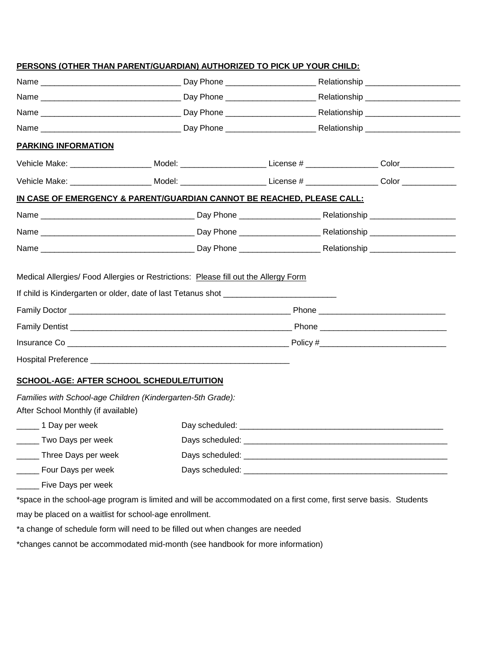|                                                                                                    | PERSONS (OTHER THAN PARENT/GUARDIAN) AUTHORIZED TO PICK UP YOUR CHILD:                                               |  |  |  |  |
|----------------------------------------------------------------------------------------------------|----------------------------------------------------------------------------------------------------------------------|--|--|--|--|
|                                                                                                    |                                                                                                                      |  |  |  |  |
|                                                                                                    |                                                                                                                      |  |  |  |  |
|                                                                                                    |                                                                                                                      |  |  |  |  |
|                                                                                                    |                                                                                                                      |  |  |  |  |
| <b>PARKING INFORMATION</b>                                                                         |                                                                                                                      |  |  |  |  |
|                                                                                                    | Vehicle Make: ________________________Model: ______________________License # ___________________Color_____________   |  |  |  |  |
|                                                                                                    | Vehicle Make: _______________________ Model: ________________________License # ___________________Color ____________ |  |  |  |  |
|                                                                                                    | IN CASE OF EMERGENCY & PARENT/GUARDIAN CANNOT BE REACHED, PLEASE CALL:                                               |  |  |  |  |
|                                                                                                    |                                                                                                                      |  |  |  |  |
|                                                                                                    |                                                                                                                      |  |  |  |  |
|                                                                                                    |                                                                                                                      |  |  |  |  |
|                                                                                                    | If child is Kindergarten or older, date of last Tetanus shot ___________________                                     |  |  |  |  |
|                                                                                                    |                                                                                                                      |  |  |  |  |
|                                                                                                    |                                                                                                                      |  |  |  |  |
|                                                                                                    |                                                                                                                      |  |  |  |  |
| <b>SCHOOL-AGE: AFTER SCHOOL SCHEDULE/TUITION</b>                                                   |                                                                                                                      |  |  |  |  |
| Families with School-age Children (Kindergarten-5th Grade):<br>After School Monthly (if available) |                                                                                                                      |  |  |  |  |
|                                                                                                    |                                                                                                                      |  |  |  |  |
| Two Days per week                                                                                  |                                                                                                                      |  |  |  |  |
| Three Days per week                                                                                |                                                                                                                      |  |  |  |  |
| Four Days per week                                                                                 |                                                                                                                      |  |  |  |  |
| _____ Five Days per week                                                                           |                                                                                                                      |  |  |  |  |

\*space in the school-age program is limited and will be accommodated on a first come, first serve basis. Students may be placed on a waitlist for school-age enrollment.

\*a change of schedule form will need to be filled out when changes are needed

\*changes cannot be accommodated mid-month (see handbook for more information)